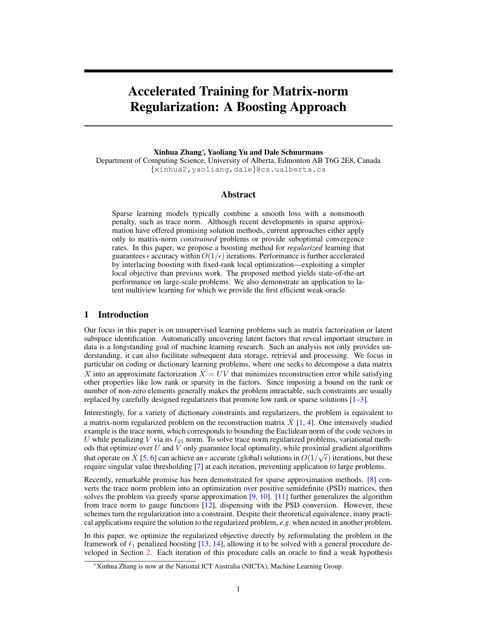# Accelerated Training for Matrix-norm Regularization: A Boosting Approach

Xinhua Zhang<sup>∗</sup> , Yaoliang Yu and Dale Schuurmans

Department of Computing Science, University of Alberta, Edmonton AB T6G 2E8, Canada {xinhua2,yaoliang,dale}@cs.ualberta.ca

## Abstract

Sparse learning models typically combine a smooth loss with a nonsmooth penalty, such as trace norm. Although recent developments in sparse approximation have offered promising solution methods, current approaches either apply only to matrix-norm *constrained* problems or provide suboptimal convergence rates. In this paper, we propose a boosting method for *regularized* learning that guarantees  $\epsilon$  accuracy within  $O(1/\epsilon)$  iterations. Performance is further accelerated by interlacing boosting with fixed-rank local optimization—exploiting a simpler local objective than previous work. The proposed method yields state-of-the-art performance on large-scale problems. We also demonstrate an application to latent multiview learning for which we provide the first efficient weak-oracle.

## 1 Introduction

Our focus in this paper is on unsupervised learning problems such as matrix factorization or latent subspace identification. Automatically uncovering latent factors that reveal important structure in data is a longstanding goal of machine learning research. Such an analysis not only provides understanding, it can also facilitate subsequent data storage, retrieval and processing. We focus in particular on coding or dictionary learning problems, where one seeks to decompose a data matrix X into an approximate factorization  $\ddot{X} = UV$  that minimizes reconstruction error while satisfying other properties like low rank or sparsity in the factors. Since imposing a bound on the rank or number of non-zero elements generally makes the problem intractable, such constraints are usually replaced by carefully designed regularizers that promote low rank or sparse solutions [1–3].

Interestingly, for a variety of dictionary constraints and regularizers, the problem is equivalent to a matrix-norm regularized problem on the reconstruction matrix  $X[1, 4]$ . One intensively studied example is the trace norm, which corresponds to bounding the Euclidean norm of the code vectors in U while penalizing V via its  $\ell_{21}$  norm. To solve trace norm regularized problems, variational methods that optimize over U and V only guarantee local optimality, while proximal gradient algorithms that operate on  $\hat{X}$  [5, 6] can achieve an  $\epsilon$  accurate (global) solutions in  $O(1/\sqrt{\epsilon})$  iterations, but these require singular value thresholding [7] at each iteration, preventing application to large problems.

Recently, remarkable promise has been demonstrated for sparse approximation methods. [8] converts the trace norm problem into an optimization over positive semidefinite (PSD) matrices, then solves the problem via greedy sparse approximation  $[9, 10]$ . [11] further generalizes the algorithm from trace norm to gauge functions [12], dispensing with the PSD conversion. However, these schemes turn the regularization into a constraint. Despite their theoretical equivalence, many practical applications require the solution to the regularized problem, *e.g.* when nested in another problem.

In this paper, we optimize the regularized objective directly by reformulating the problem in the framework of  $\ell_1$  penalized boosting [13, 14], allowing it to be solved with a general procedure developed in Section 2. Each iteration of this procedure calls an oracle to find a weak hypothesis

<sup>∗</sup>Xinhua Zhang is now at the National ICT Australia (NICTA), Machine Learning Group.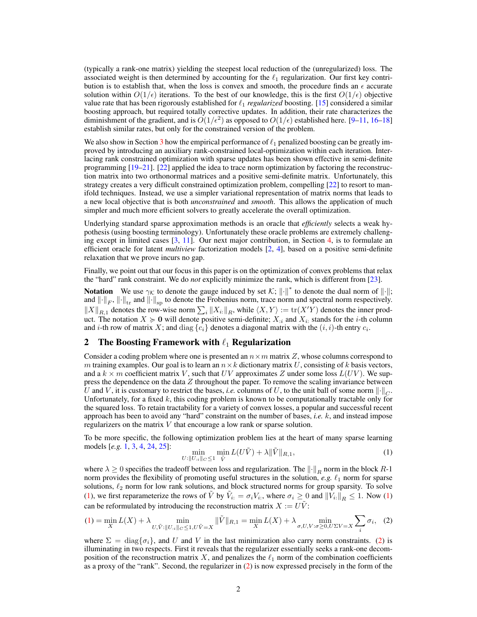(typically a rank-one matrix) yielding the steepest local reduction of the (unregularized) loss. The associated weight is then determined by accounting for the  $\ell_1$  regularization. Our first key contribution is to establish that, when the loss is convex and smooth, the procedure finds an  $\epsilon$  accurate solution within  $O(1/\epsilon)$  iterations. To the best of our knowledge, this is the first  $O(1/\epsilon)$  objective value rate that has been rigorously established for  $\ell_1$  *regularized* boosting. [15] considered a similar boosting approach, but required totally corrective updates. In addition, their rate characterizes the diminishment of the gradient, and is  $O(1/\epsilon^2)$  as opposed to  $O(1/\epsilon)$  established here. [9–11, 16–18] establish similar rates, but only for the constrained version of the problem.

We also show in Section 3 how the empirical performance of  $\ell_1$  penalized boosting can be greatly improved by introducing an auxiliary rank-constrained local-optimization within each iteration. Interlacing rank constrained optimization with sparse updates has been shown effective in semi-definite programming [19–21]. [22] applied the idea to trace norm optimization by factoring the reconstruction matrix into two orthonormal matrices and a positive semi-definite matrix. Unfortunately, this strategy creates a very difficult constrained optimization problem, compelling [22] to resort to manifold techniques. Instead, we use a simpler variational representation of matrix norms that leads to a new local objective that is both *unconstrained* and *smooth*. This allows the application of much simpler and much more efficient solvers to greatly accelerate the overall optimization.

Underlying standard sparse approximation methods is an oracle that *efficiently* selects a weak hypothesis (using boosting terminology). Unfortunately these oracle problems are extremely challenging except in limited cases  $[3, 11]$ . Our next major contribution, in Section 4, is to formulate an efficient oracle for latent *multiview* factorization models [2, 4], based on a positive semi-definite relaxation that we prove incurs no gap.

Finally, we point out that our focus in this paper is on the optimization of convex problems that relax the "hard" rank constraint. We do *not* explicitly minimize the rank, which is different from [23].

**Notation** We use  $\gamma_{\mathcal{K}}$  to denote the gauge induced by set  $\mathcal{K}$ ;  $\|\cdot\|^*$  to denote the dual norm of  $\|\cdot\|$ ; and  $\|\cdot\|_F$ ,  $\|\cdot\|_{tr}$  and  $\|\cdot\|_{sp}$  to denote the Frobenius norm, trace norm and spectral norm respectively.  $||X||_{R,1}$  denotes the row-wise norm  $\sum_i ||X_i||_R$ , while  $\langle X, Y \rangle := \text{tr}(X'Y)$  denotes the inner product. The notation  $X \ge 0$  will denote positive semi-definite;  $X_{i}$  and  $X_{i}$  stands for the *i*-th column and *i*-th row of matrix X; and diag  $\{c_i\}$  denotes a diagonal matrix with the  $(i, i)$ -th entry  $c_i$ .

# 2 The Boosting Framework with  $\ell_1$  Regularization

Consider a coding problem where one is presented an  $n \times m$  matrix Z, whose columns correspond to m training examples. Our goal is to learn an  $n \times k$  dictionary matrix U, consisting of k basis vectors, and a  $k \times m$  coefficient matrix V, such that UV approximates Z under some loss  $L(UV)$ . We suppress the dependence on the data  $Z$  throughout the paper. To remove the scaling invariance between U and V, it is customary to restrict the bases, *i.e.* columns of U, to the unit ball of some norm  $\|\cdot\|_C$ . Unfortunately, for a fixed  $k$ , this coding problem is known to be computationally tractable only for the squared loss. To retain tractability for a variety of convex losses, a popular and successful recent approach has been to avoid any "hard" constraint on the number of bases, *i.e.* k, and instead impose regularizers on the matrix V that encourage a low rank or sparse solution.

To be more specific, the following optimization problem lies at the heart of many sparse learning models [*e.g.* 1, 3, 4, 24, 25]:

$$
\min_{U:\|U_{:i}\|_{C}\leq 1} \min_{\tilde{V}} L(U\tilde{V}) + \lambda \|\tilde{V}\|_{R,1},\tag{1}
$$

where  $\lambda \geq 0$  specifies the tradeoff between loss and regularization. The  $\|\cdot\|_R$  norm in the block R-1 norm provides the flexibility of promoting useful structures in the solution,  $e.g. \ell_1$  norm for sparse solutions,  $\ell_2$  norm for low rank solutions, and block structured norms for group sparsity. To solve (1), we first reparameterize the rows of  $\tilde{V}$  by  $\tilde{V}_{i:} = \sigma_i V_{i:}$ , where  $\sigma_i \geq 0$  and  $||\tilde{V}_{i:}||_R \leq 1$ . Now (1) can be reformulated by introducing the reconstruction matrix  $X := U\tilde{V}$ :

$$
(1) = \min_{X} L(X) + \lambda \min_{U, \tilde{V}: ||U_{:i}||_{C} \le 1, U\tilde{V} = X} ||\tilde{V}||_{R,1} = \min_{X} L(X) + \lambda \min_{\sigma, U, V: \sigma \ge 0, U\Sigma V = X} \sum_{i} \sigma_{i}, \quad (2)
$$

where  $\Sigma = \text{diag}\{\sigma_i\}$ , and U and V in the last minimization also carry norm constraints. (2) is illuminating in two respects. First it reveals that the regularizer essentially seeks a rank-one decomposition of the reconstruction matrix X, and penalizes the  $\ell_1$  norm of the combination coefficients as a proxy of the "rank". Second, the regularizer in (2) is now expressed precisely in the form of the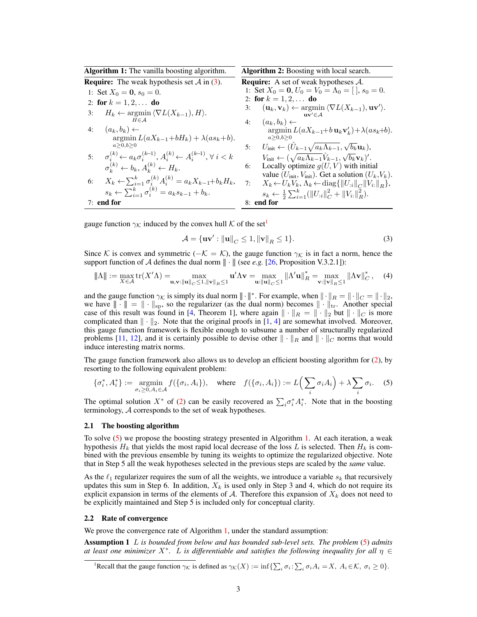| <b>Algorithm 1:</b> The vanilla boosting algorithm.                                                     | <b>Algorithm 2:</b> Boosting with local search.                                                                                                |
|---------------------------------------------------------------------------------------------------------|------------------------------------------------------------------------------------------------------------------------------------------------|
| <b>Require:</b> The weak hypothesis set $\mathcal A$ in (3).                                            | <b>Require:</b> A set of weak hypotheses $A$ .                                                                                                 |
| 1: Set $X_0 = 0$ , $s_0 = 0$ .                                                                          | 1: Set $X_0 = 0$ , $U_0 = V_0 = \Lambda_0 = [$ , $s_0 = 0$ .                                                                                   |
| 2: for $k = 1, 2, $ do                                                                                  | 2: for $k = 1, 2, $ do                                                                                                                         |
| $H_k \leftarrow \operatorname{argmin} \langle \nabla L(X_{k-1}), H \rangle.$<br>3:                      | $(\mathbf{u}_k, \mathbf{v}_k) \leftarrow \operatorname{argmin} \langle \nabla L(X_{k-1}), \mathbf{u}\mathbf{v}' \rangle.$<br>3:<br>$uv' \in A$ |
| $H \in \mathcal{A}$                                                                                     | 4: $(a_k, b_k) \leftarrow$                                                                                                                     |
| 4: $(a_k, b_k) \leftarrow$                                                                              | $\arg\min L(aX_{k-1}+b\mathbf{u}_k\mathbf{v}'_k)+\lambda(as_k+b).$                                                                             |
| $\argmin L(aX_{k-1}+bH_k) + \lambda(as_k+b).$                                                           | a>0, b>0                                                                                                                                       |
| a > 0, b > 0                                                                                            | 5: $U_{\text{init}} \leftarrow (\hat{U}_{k-1} \sqrt{a_k \Lambda_{k-1}}, \sqrt{b_k} \mathbf{u}_k),$                                             |
| 5: $\sigma_i^{(k)} \leftarrow a_k \sigma_i^{(k-1)}, A_i^{(k)} \leftarrow A_i^{(k-1)}, \forall i \leq k$ | $V_{\text{init}} \leftarrow (\sqrt{a_k \Lambda_{k-1} V_{k-1}}, \sqrt{b_k} \mathbf{v}_k)'.$                                                     |
| $\sigma_k^{(k)} \leftarrow b_k, A_k^{(k)} \leftarrow H_k.$                                              | Locally optimize $g(U, V)$ with initial<br>6:                                                                                                  |
| $X_k \leftarrow \sum_{i=1}^k \sigma_i^{(k)} A_i^{(k)} = a_k X_{k-1} + b_k H_k,$<br>6:                   | value ( $U_{\text{init}}$ , $V_{\text{init}}$ ). Get a solution ( $U_k$ , $V_k$ ).                                                             |
|                                                                                                         | 7:<br>$X_k \leftarrow U_k V_k, \Lambda_k \leftarrow \text{diag}\{\ U_{:i}\ _C \ V_{i:}\ _R\},\$                                                |
| $s_k \leftarrow \sum_{i=1}^k \sigma_i^{(k)} = a_k s_{k-1} + b_k.$                                       | $s_k \leftarrow \frac{1}{2} \sum_{i=1}^k (  U_{:i}  _C^2 +   V_{i:}  _R^2).$                                                                   |
| $7:$ end for                                                                                            | 8: end for                                                                                                                                     |

gauge function  $\gamma_K$  induced by the convex hull K of the set<sup>1</sup>

$$
\mathcal{A} = \{\mathbf{uv}' : \|\mathbf{u}\|_C \le 1, \|\mathbf{v}\|_R \le 1\}.
$$
\n(3)

Since K is convex and symmetric ( $-\mathcal{K} = \mathcal{K}$ ), the gauge function  $\gamma_K$  is in fact a norm, hence the support function of A defines the dual norm  $\|\cdot\|$  (see *e.g.* [26, Proposition V.3.2.1]):

$$
\|\Lambda\| := \max_{X \in \mathcal{A}} \text{tr}(X'\Lambda) = \max_{\mathbf{u}, \mathbf{v}: \|\mathbf{u}\|_{C} \le 1, \|\mathbf{v}\|_{R} \le 1} \mathbf{u}'\Lambda \mathbf{v} = \max_{\mathbf{u}: \|\mathbf{u}\|_{C} \le 1} \|\Lambda' \mathbf{u}\|_{R}^{*} = \max_{\mathbf{v}: \|\mathbf{v}\|_{R} \le 1} \|\Lambda \mathbf{v}\|_{C}^{*}, \quad (4)
$$

and the gauge function  $\gamma_K$  is simply its dual norm  $\|\cdot\|_*$ . For example, when  $\|\cdot\|_R = \|\cdot\|_C = \|\cdot\|_2$ , we have  $\|\cdot\| = \|\cdot\|_{\text{sp}}$ , so the regularizer (as the dual norm) becomes  $\|\cdot\|_{\text{tr}}$ . Another special case of this result was found in [4, Theorem 1], where again  $\|\cdot\|_R = \|\cdot\|_2$  but  $\|\cdot\|_C$  is more complicated than  $\|\cdot\|_2$ . Note that the original proofs in [1, 4] are somewhat involved. Moreover, this gauge function framework is flexible enough to subsume a number of structurally regularized problems [11, 12], and it is certainly possible to devise other  $\|\cdot\|_R$  and  $\|\cdot\|_C$  norms that would induce interesting matrix norms.

The gauge function framework also allows us to develop an efficient boosting algorithm for (2), by resorting to the following equivalent problem:

$$
\{\sigma_i^*, A_i^*\} := \operatorname*{argmin}_{\sigma_i \ge 0, A_i \in \mathcal{A}} f(\{\sigma_i, A_i\}), \quad \text{where} \quad f(\{\sigma_i, A_i\}) := L\Big(\sum_i \sigma_i A_i\Big) + \lambda \sum_i \sigma_i. \tag{5}
$$

The optimal solution  $X^*$  of (2) can be easily recovered as  $\sum_i \sigma_i^* A_i^*$ . Note that in the boosting terminology, A corresponds to the set of weak hypotheses.

#### 2.1 The boosting algorithm

To solve (5) we propose the boosting strategy presented in Algorithm 1. At each iteration, a weak hypothesis  $H_k$  that yields the most rapid local decrease of the loss L is selected. Then  $H_k$  is combined with the previous ensemble by tuning its weights to optimize the regularized objective. Note that in Step 5 all the weak hypotheses selected in the previous steps are scaled by the *same* value.

As the  $\ell_1$  regularizer requires the sum of all the weights, we introduce a variable  $s_k$  that recursively updates this sum in Step 6. In addition,  $X_k$  is used only in Step 3 and 4, which do not require its explicit expansion in terms of the elements of  $A$ . Therefore this expansion of  $X_k$  does not need to be explicitly maintained and Step 5 is included only for conceptual clarity.

#### 2.2 Rate of convergence

We prove the convergence rate of Algorithm 1, under the standard assumption:

Assumption 1 L *is bounded from below and has bounded sub-level sets. The problem* (5) *admits at least one minimizer* X<sup>∗</sup> *.* L *is differentiable and satisfies the following inequality for all* η ∈

<sup>1</sup>Recall that the gauge function  $\gamma_K$  is defined as  $\gamma_K(X) := \inf \{ \sum_i \sigma_i : \sum_i \sigma_i A_i = X, A_i \in \mathcal{K}, \sigma_i \ge 0 \}.$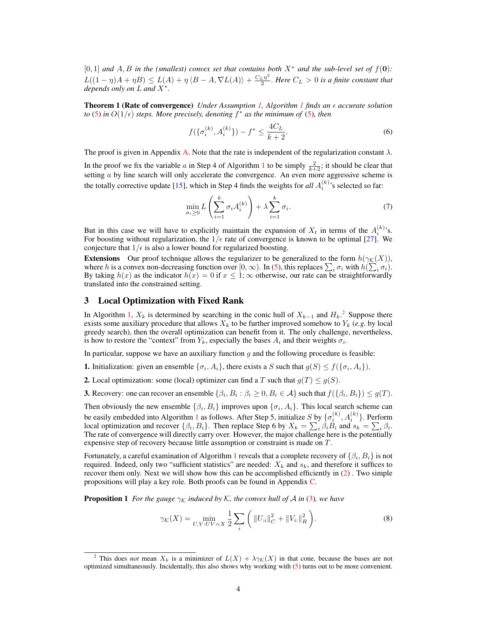[0, 1] *and* A, B *in the (smallest) convex set that contains both* X<sup>∗</sup> *and the sub-level set of* f(0)*:*  $L((1 - \eta)A + \eta B) \leq L(A) + \eta \langle B - A, \nabla L(A) \rangle + \frac{C_L \eta^2}{2}$  $\frac{L}{2}$ . Here  $C_L > 0$  is a finite constant that *depends only on* L *and* X<sup>∗</sup> *.*

**Theorem 1 (Rate of convergence)** *Under Assumption 1, Algorithm 1 finds an*  $\epsilon$  *accurate solution to* (5) in  $O(1/\epsilon)$  steps. More precisely, denoting  $f^*$  as the minimum of (5), then

$$
f(\{\sigma_i^{(k)}, A_i^{(k)}\}) - f^* \le \frac{4C_L}{k+2}.\tag{6}
$$

The proof is given in Appendix A. Note that the rate is independent of the regularization constant  $\lambda$ .

In the proof we fix the variable a in Step 4 of Algorithm 1 to be simply  $\frac{2}{k+2}$ ; it should be clear that setting a by line search will only accelerate the convergence. An even more aggressive scheme is the totally corrective update [15], which in Step 4 finds the weights for *all*  $A_i^{(k)}$ 's selected so far:

$$
\min_{\sigma_i \ge 0} L\left(\sum_{i=1}^k \sigma_i A_i^{(k)}\right) + \lambda \sum_{i=1}^k \sigma_i.
$$
\n(7)

But in this case we will have to explicitly maintain the expansion of  $X_t$  in terms of the  $A_i^{(k)}$ 's. For boosting without regularization, the  $1/\epsilon$  rate of convergence is known to be optimal [27]. We conjecture that  $1/\epsilon$  is also a lower bound for regularized boosting.

Extensions Our proof technique allows the regularizer to be generalized to the form  $h(\gamma_K(X))$ , where h is a convex non-decreasing function over [0,  $\infty$ ). In (5), this replaces  $\sum_i \sigma_i$  with  $h(\sum_i \sigma_i)$ . By taking  $h(x)$  as the indicator  $h(x) = 0$  if  $x \le 1$ ;  $\infty$  otherwise, our rate can be straightforwardly translated into the constrained setting.

#### 3 Local Optimization with Fixed Rank

In Algorithm 1,  $X_k$  is determined by searching in the conic hull of  $X_{k-1}$  and  $H_k$ .<sup>2</sup> Suppose there exists some auxiliary procedure that allows  $X_k$  to be further improved somehow to  $Y_k$  (*e.g.* by local greedy search), then the overall optimization can benefit from it. The only challenge, nevertheless, is how to restore the "context" from  $Y_k$ , especially the bases  $A_i$  and their weights  $\sigma_i$ .

In particular, suppose we have an auxiliary function  $g$  and the following procedure is feasible:

**1.** Initialization: given an ensemble  $\{\sigma_i, A_i\}$ , there exists a S such that  $g(S) \le f(\{\sigma_i, A_i\})$ .

**2.** Local optimization: some (local) optimizer can find a T such that  $g(T) \leq g(S)$ .

**3.** Recovery: one can recover an ensemble  $\{\beta_i, B_i : \beta_i \ge 0, B_i \in \mathcal{A}\}$  such that  $f(\{\beta_i, B_i\}) \le g(T)$ .

Then obviously the new ensemble  $\{\beta_i, B_i\}$  improves upon  $\{\sigma_i, A_i\}$ . This local search scheme can be easily embedded into Algorithm 1 as follows. After Step 5, initialize  $S$  by  $\{\sigma_i^{(k)}, A_i^{(k)}\}$ . Perform local optimization and recover  $\{\beta_i, B_i\}$ . Then replace Step 6 by  $X_k = \sum_i \beta_i B_i$  and  $s_k = \sum_i \beta_i$ . The rate of convergence will directly carry over. However, the major challenge here is the potentially expensive step of recovery because little assumption or constraint is made on T.

Fortunately, a careful examination of Algorithm 1 reveals that a complete recovery of  $\{\beta_i,B_i\}$  is not required. Indeed, only two "sufficient statistics" are needed:  $X_k$  and  $s_k$ , and therefore it suffices to recover them only. Next we will show how this can be accomplished efficiently in (2) . Two simple propositions will play a key role. Both proofs can be found in Appendix C.

**Proposition 1** *For the gauge*  $\gamma_K$  *induced by* K, *the convex hull of* A *in* (3)*, we have* 

$$
\gamma_{\mathcal{K}}(X) = \min_{U, V: UV = X} \frac{1}{2} \sum_{i} \left( \|U_{:i}\|_{C}^{2} + \|V_{i:}\|_{R}^{2} \right).
$$
 (8)

<sup>&</sup>lt;sup>2</sup> This does *not* mean  $X_k$  is a minimizer of  $L(X) + \lambda \gamma \kappa(X)$  in that cone, because the bases are not optimized simultaneously. Incidentally, this also shows why working with (5) turns out to be more convenient.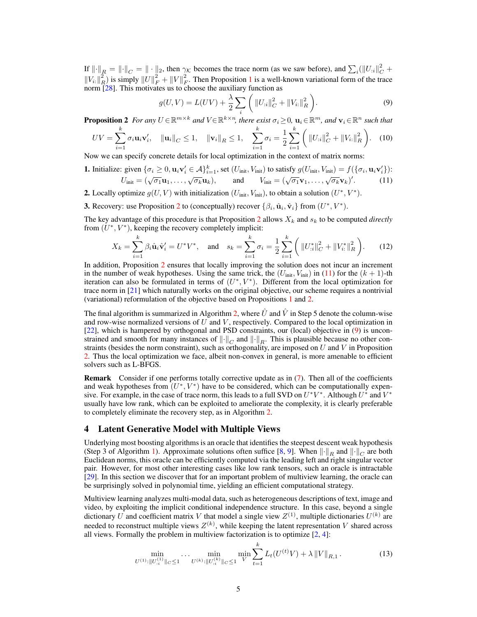If  $\left\| \cdot \right\|_R = \left\| \cdot \right\|_C = \left\| \cdot \right\|_2$ , then  $\gamma_K$  becomes the trace norm (as we saw before), and  $\sum_i (\left\| U_{:i} \right\|_C^2 +$  $||V_{i:}||_{R}^{2}$  is simply  $||U||_{F}^{2} + ||V||_{F}^{2}$ . Then Proposition 1 is a well-known variational form of the trace norm [28]. This motivates us to choose the auxiliary function as

$$
g(U, V) = L(UV) + \frac{\lambda}{2} \sum_{i} \left( ||U_{:i}||_{C}^{2} + ||V_{i:}||_{R}^{2} \right).
$$
\n(9)

**Proposition 2** For any  $U \in \mathbb{R}^{m \times k}$  and  $V \in \mathbb{R}^{k \times n}$ , there exist  $\sigma_i \geq 0$ ,  $\mathbf{u}_i \in \mathbb{R}^m$ , and  $\mathbf{v}_i \in \mathbb{R}^n$  such that

$$
UV = \sum_{i=1}^{k} \sigma_i \mathbf{u}_i \mathbf{v}'_i, \quad \|\mathbf{u}_i\|_C \le 1, \quad \|\mathbf{v}_i\|_R \le 1, \quad \sum_{i=1}^{k} \sigma_i = \frac{1}{2} \sum_{i=1}^{k} \left( \|U_{:i}\|_C^2 + \|V_{i:}\|_R^2 \right). \tag{10}
$$

Now we can specify concrete details for local optimization in the context of matrix norms:

**1.** Initialize: given 
$$
\{\sigma_i \ge 0, \mathbf{u}_i \mathbf{v}'_i \in A\}_{i=1}^k
$$
, set  $(U_{\text{init}}, V_{\text{init}})$  to satisfy  $g(U_{\text{init}}, V_{\text{init}}) = f(\{\sigma_i, \mathbf{u}_i \mathbf{v}'_i\})$ :  
\n $U_{\text{init}} = (\sqrt{\sigma_1} \mathbf{u}_1, \dots, \sqrt{\sigma_k} \mathbf{u}_k),$  and  $V_{\text{init}} = (\sqrt{\sigma_1} \mathbf{v}_1, \dots, \sqrt{\sigma_k} \mathbf{v}_k)'$ . (11)

- **2.** Locally optimize  $g(U, V)$  with initialization  $(U_{init}, V_{init})$ , to obtain a solution  $(U^*, V^*)$ .
- **3.** Recovery: use Proposition 2 to (conceptually) recover  $\{\beta_i, \hat{\mathbf{u}}_i, \hat{\mathbf{v}}_i\}$  from  $(U^*, V^*)$ .

The key advantage of this procedure is that Proposition 2 allows  $X_k$  and  $s_k$  to be computed *directly* from  $(U^*, V^*)$ , keeping the recovery completely implicit:

$$
X_k = \sum_{i=1}^k \beta_i \hat{\mathbf{u}}_i \hat{\mathbf{v}}_i' = U^* V^*, \text{ and } s_k = \sum_{i=1}^k \sigma_i = \frac{1}{2} \sum_{i=1}^k \left( \| U_{:i}^* \|_{C}^2 + \| V_{i:}^* \|_{R}^2 \right). \tag{12}
$$

In addition, Proposition 2 ensures that locally improving the solution does not incur an increment in the number of weak hypotheses. Using the same trick, the  $(U<sub>init</sub>, V<sub>init</sub>)$  in (11) for the  $(k + 1)$ -th iteration can also be formulated in terms of  $(U^*, V^*)$ . Different from the local optimization for trace norm in [21] which naturally works on the original objective, our scheme requires a nontrivial (variational) reformulation of the objective based on Propositions 1 and 2.

The final algorithm is summarized in Algorithm 2, where  $\hat{U}$  and  $\hat{V}$  in Step 5 denote the column-wise and row-wise normalized versions of  $U$  and  $V$ , respectively. Compared to the local optimization in [22], which is hampered by orthogonal and PSD constraints, our (local) objective in (9) is unconstrained and smooth for many instances of  $\|\cdot\|_C$  and  $\|\cdot\|_R$ . This is plausible because no other constraints (besides the norm constraint), such as orthogonality, are imposed on  $U$  and  $V$  in Proposition 2. Thus the local optimization we face, albeit non-convex in general, is more amenable to efficient solvers such as L-BFGS.

**Remark** Consider if one performs totally corrective update as in  $(7)$ . Then all of the coefficients and weak hypotheses from  $(U^*, V^*)$  have to be considered, which can be computationally expensive. For example, in the case of trace norm, this leads to a full SVD on  $U^*V^*$ . Although  $U^*$  and  $V^*$ usually have low rank, which can be exploited to ameliorate the complexity, it is clearly preferable to completely eliminate the recovery step, as in Algorithm 2.

## 4 Latent Generative Model with Multiple Views

Underlying most boosting algorithms is an oracle that identifies the steepest descent weak hypothesis (Step 3 of Algorithm 1). Approximate solutions often suffice [8, 9]. When  $\|\cdot\|_R$  and  $\|\cdot\|_C$  are both Euclidean norms, this oracle can be efficiently computed via the leading left and right singular vector pair. However, for most other interesting cases like low rank tensors, such an oracle is intractable [29]. In this section we discover that for an important problem of multiview learning, the oracle can be surprisingly solved in polynomial time, yielding an efficient computational strategy.

Multiview learning analyzes multi-modal data, such as heterogeneous descriptions of text, image and video, by exploiting the implicit conditional independence structure. In this case, beyond a single dictionary U and coefficient matrix V that model a single view  $Z^{(1)}$ , multiple dictionaries  $U^{(k)}$  are needed to reconstruct multiple views  $Z^{(k)}$ , while keeping the latent representation V shared across all views. Formally the problem in multiview factorization is to optimize [2, 4]:

$$
\min_{U^{(1)}:\|U_{:i}^{(1)}\|_{C} \le 1} \dots \min_{U^{(k)}:\|U_{:i}^{(k)}\|_{C} \le 1} \min_{V} \sum_{t=1}^{k} L_{t}(U^{(t)}V) + \lambda \|V\|_{R,1}.
$$
\n(13)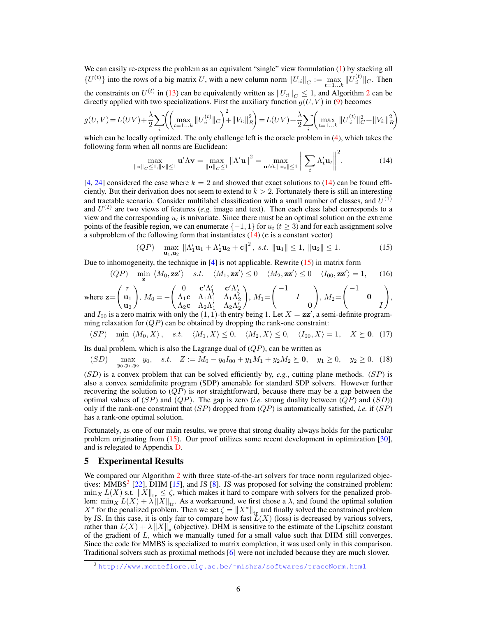We can easily re-express the problem as an equivalent "single" view formulation (1) by stacking all  ${U^{(t)}}$  into the rows of a big matrix U, with a new column norm  $||U_{:i}||_C := \max_{t=1...k} ||U_{:i}^{(t)}||_C$ . Then the constraints on  $U^{(t)}$  in (13) can be equivalently written as  $||U_{i}||_{C} \leq 1$ , and Algorithm 2 can be directly applied with two specializations. First the auxiliary function  $g(U, V)$  in (9) becomes

$$
g(U,V) = L(UV) + \frac{\lambda}{2} \sum_{i} \left( \left( \max_{t=1...k} \|U_{:i}^{(t)}\|_{C} \right)^{2} + \|V_{i:}\|_{R}^{2} \right) = L(UV) + \frac{\lambda}{2} \sum_{i} \left( \max_{t=1...k} \|U_{:i}^{(t)}\|_{C}^{2} + \|V_{i:}\|_{R}^{2} \right)
$$

which can be locally optimized. The only challenge left is the oracle problem in (4), which takes the following form when all norms are Euclidean:

$$
\max_{\|\mathbf{u}\|_{C}\leq 1, \|\mathbf{v}\|\leq 1} \mathbf{u}'\Lambda \mathbf{v} = \max_{\|\mathbf{u}\|_{C}\leq 1} \|\Lambda'\mathbf{u}\|^2 = \max_{\mathbf{u}:\forall t, \|\mathbf{u}_t\|\leq 1} \left\|\sum_{t} \Lambda'_t \mathbf{u}_t\right\|^2. \tag{14}
$$

[4, 24] considered the case where  $k = 2$  and showed that exact solutions to (14) can be found efficiently. But their derivation does not seem to extend to  $k > 2$ . Fortunately there is still an interesting and tractable scenario. Consider multilabel classification with a small number of classes, and  $U^{(1)}$ and  $U^{(2)}$  are two views of features (*e.g.* image and text). Then each class label corresponds to a view and the corresponding  $u_t$  is univariate. Since there must be an optimal solution on the extreme points of the feasible region, we can enumerate  $\{-1, 1\}$  for  $u_t$  ( $t \geq 3$ ) and for each assignment solve a subproblem of the following form that instantiates  $(14)$  (c is a constant vector)

$$
(QP) \quad \max_{\mathbf{u}_1, \mathbf{u}_2} \|\Lambda_1' \mathbf{u}_1 + \Lambda_2' \mathbf{u}_2 + \mathbf{c}\|^2, \ s.t. \ \|\mathbf{u}_1\| \le 1, \ \|\mathbf{u}_2\| \le 1. \tag{15}
$$

Due to inhomogeneity, the technique in  $[4]$  is not applicable. Rewrite  $(15)$  in matrix form

$$
(QP) \quad \min_{\mathbf{z}} \langle M_0, \mathbf{z} \mathbf{z}' \rangle \quad s.t. \quad \langle M_1, \mathbf{z} \mathbf{z}' \rangle \le 0 \quad \langle M_2, \mathbf{z} \mathbf{z}' \rangle \le 0 \quad \langle I_{00}, \mathbf{z} \mathbf{z}' \rangle = 1, \quad (16)
$$

where 
$$
\mathbf{z} = \begin{pmatrix} r \\ \mathbf{u}_1 \\ \mathbf{u}_2 \end{pmatrix}
$$
,  $M_0 = -\begin{pmatrix} 0 & \mathbf{c}' \Lambda'_1 & \mathbf{c}' \Lambda'_2 \\ \Lambda_1 \mathbf{c} & \Lambda_1 \Lambda'_1 & \Lambda_1 \Lambda'_2 \\ \Lambda_2 \mathbf{c} & \Lambda_2 \Lambda'_1 & \Lambda_2 \Lambda'_2 \end{pmatrix}$ ,  $M_1 = \begin{pmatrix} -1 & & \\ & I & \\ & & 0 \end{pmatrix}$ ,  $M_2 = \begin{pmatrix} -1 & & \\ & 0 & \\ & & I \end{pmatrix}$ ,

and  $I_{00}$  is a zero matrix with only the  $(1, 1)$ -th entry being 1. Let  $X = \mathbf{z} \mathbf{z}'$ , a semi-definite programming relaxation for  $(QP)$  can be obtained by dropping the rank-one constraint:

$$
(SP) \quad \min_{X} \ \langle M_0, X \rangle \, , \quad s.t. \quad \langle M_1, X \rangle \le 0, \quad \langle M_2, X \rangle \le 0, \quad \langle I_{00}, X \rangle = 1, \quad X \succeq \mathbf{0}. \tag{17}
$$

Its dual problem, which is also the Lagrange dual of  $(QP)$ , can be written as

$$
(SD) \quad \max_{y_0, y_1, y_2} y_0, \quad s.t. \quad Z := M_0 - y_0 I_{00} + y_1 M_1 + y_2 M_2 \succeq \mathbf{0}, \quad y_1 \ge 0, \quad y_2 \ge 0. \tag{18}
$$

 $(SD)$  is a convex problem that can be solved efficiently by, *e.g.*, cutting plane methods.  $(SP)$  is also a convex semidefinite program (SDP) amenable for standard SDP solvers. However further recovering the solution to  $(QP)$  is *not* straightforward, because there may be a gap between the optimal values of  $(SP)$  and  $(QP)$ . The gap is zero *(i.e.* strong duality between  $(QP)$  and  $(SD)$ ) only if the rank-one constraint that  $(SP)$  dropped from  $(QP)$  is automatically satisfied, *i.e.* if  $(SP)$ has a rank-one optimal solution.

Fortunately, as one of our main results, we prove that strong duality always holds for the particular problem originating from (15). Our proof utilizes some recent development in optimization [30], and is relegated to Appendix D.

#### 5 Experimental Results

We compared our Algorithm 2 with three state-of-the-art solvers for trace norm regularized objectives: MMBS<sup>3</sup> [22], DHM [15], and JS [8]. JS was proposed for solving the constrained problem:  $\min_X L(X)$  s.t.  $||X||_{\text{tr}_1} \leq \zeta$ , which makes it hard to compare with solvers for the penalized problem:  $\min_{X} L(X) = \lambda \|X\|_{tr}$ . As a workaround, we first chose a  $\lambda$ , and found the optimal solution X<sup>\*</sup> for the penalized problem. Then we set  $\zeta = ||X^*||_{tr}$  and finally solved the constrained problem by JS. In this case, it is only fair to compare how fast  $\mathcal{L}(X)$  (loss) is decreased by various solvers, rather than  $L(X) + \lambda ||X||_*$  (objective). DHM is sensitive to the estimate of the Lipschitz constant of the gradient of L, which we manually tuned for a small value such that DHM still converges. Since the code for MMBS is specialized to matrix completion, it was used only in this comparison. Traditional solvers such as proximal methods [6] were not included because they are much slower.

<sup>3</sup> [http://www.montefiore.ulg.ac.be/˜mishra/softwares/traceNorm.html](http://www.montefiore.ulg.ac.be/~mishra/softwares/traceNorm.html)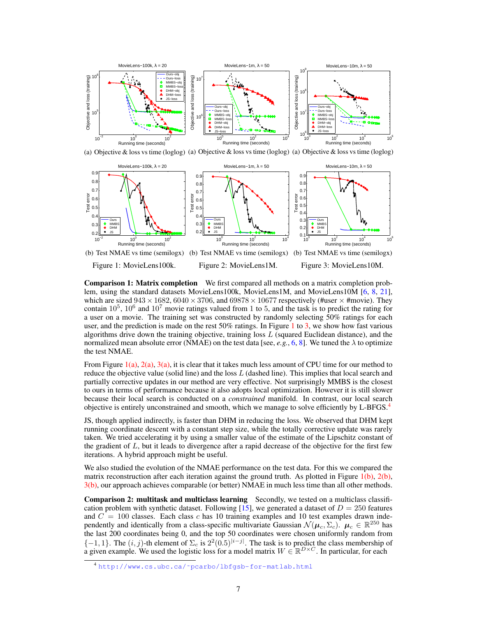



Comparison 1: Matrix completion We first compared all methods on a matrix completion problem, using the standard datasets MovieLens100k, MovieLens1M, and MovieLens10M [6, 8, 21], which are sized  $943 \times 1682$ ,  $6040 \times 3706$ , and  $69878 \times 10677$  respectively (#user  $\times$  #movie). They contain  $10^5$ ,  $10^6$  and  $10^7$  movie ratings valued from 1 to 5, and the task is to predict the rating for a user on a movie. The training set was constructed by randomly selecting 50% ratings for each user, and the prediction is made on the rest 50% ratings. In Figure 1 to 3, we show how fast various algorithms drive down the training objective, training loss  $L$  (squared Euclidean distance), and the normalized mean absolute error (NMAE) on the test data [see, *e.g.*, 6, 8]. We tuned the  $\lambda$  to optimize the test NMAE.

From Figure 1(a), 2(a), 3(a), it is clear that it takes much less amount of CPU time for our method to reduce the objective value (solid line) and the loss L (dashed line). This implies that local search and partially corrective updates in our method are very effective. Not surprisingly MMBS is the closest to ours in terms of performance because it also adopts local optimization. However it is still slower because their local search is conducted on a *constrained* manifold. In contrast, our local search objective is entirely unconstrained and smooth, which we manage to solve efficiently by L-BFGS.4

JS, though applied indirectly, is faster than DHM in reducing the loss. We observed that DHM kept running coordinate descent with a constant step size, while the totally corrective update was rarely taken. We tried accelerating it by using a smaller value of the estimate of the Lipschitz constant of the gradient of  $L$ , but it leads to divergence after a rapid decrease of the objective for the first few iterations. A hybrid approach might be useful.

We also studied the evolution of the NMAE performance on the test data. For this we compared the matrix reconstruction after each iteration against the ground truth. As plotted in Figure  $1(b)$ ,  $2(b)$ , 3(b), our approach achieves comparable (or better) NMAE in much less time than all other methods.

Comparison 2: multitask and multiclass learning Secondly, we tested on a multiclass classification problem with synthetic dataset. Following [15], we generated a dataset of  $D = 250$  features and  $C = 100$  classes. Each class c has 10 training examples and 10 test examples drawn independently and identically from a class-specific multivariate Gaussian  $\mathcal{N}(\mu_c, \Sigma_c)$ .  $\mu_c \in \mathbb{R}^{250}$  has the last 200 coordinates being 0, and the top 50 coordinates were chosen uniformly random from  $\{-1, 1\}$ . The  $(i, j)$ -th element of  $\Sigma_c$  is  $2^2(0.5)^{|i-j|}$ . The task is to predict the class membership of a given example. We used the logistic loss for a model matrix  $W \in \mathbb{R}^{D \times C}$ . In particular, for each

<sup>4</sup> [http://www.cs.ubc.ca/˜pcarbo/lbfgsb-for-matlab.html](http://www.cs.ubc.ca/~pcarbo/lbfgsb-for-matlab.html)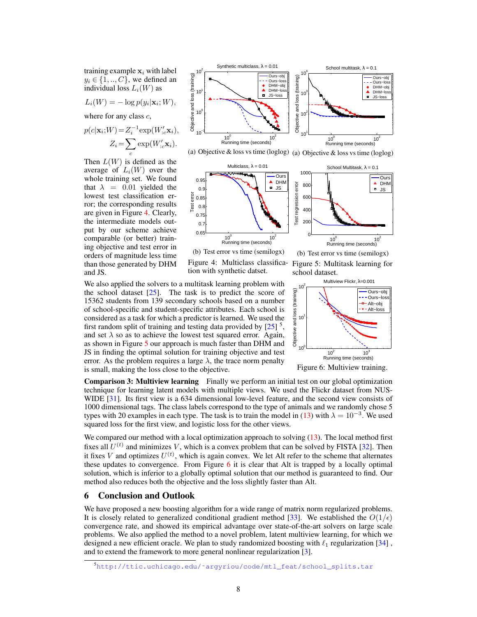training example  $x_i$  with label  $y_i \in \{1, ..., C\}$ , we defined an individual loss  $L_i(W)$  as

$$
L_i(W) = -\log p(y_i|\mathbf{x}_i; W),
$$

where for any class  $c$ ,

$$
p(c|\mathbf{x}_i;W) = Z_i^{-1} \exp(W'_{c} \mathbf{x}_i),
$$

$$
Z_i = \sum_c \exp(W'_{c} \mathbf{x}_i).
$$

Then  $L(W)$  is defined as the average of  $L_i(W)$  over the whole training set. We found that  $\lambda = 0.01$  yielded the lowest test classification error; the corresponding results are given in Figure 4. Clearly, the intermediate models output by our scheme achieve comparable (or better) training objective and test error in orders of magnitude less time than those generated by DHM and JS.



We also applied the solvers to a multitask learning problem with the school dataset  $[25]$ . The task is to predict the score of 15362 students from 139 secondary schools based on a number of school-specific and student-specific attributes. Each school is considered as a task for which a predictor is learned. We used the first random split of training and testing data provided by  $[25]$ <sup>5</sup>, and set  $\lambda$  so as to achieve the lowest test squared error. Again, as shown in Figure 5 our approach is much faster than DHM and JS in finding the optimal solution for training objective and test error. As the problem requires a large  $\lambda$ , the trace norm penalty is small, making the loss close to the objective.



Comparison 3: Multiview learning Finally we perform an initial test on our global optimization technique for learning latent models with multiple views. We used the Flickr dataset from NUS-WIDE [31]. Its first view is a 634 dimensional low-level feature, and the second view consists of 1000 dimensional tags. The class labels correspond to the type of animals and we randomly chose 5 types with 20 examples in each type. The task is to train the model in (13) with  $\lambda = 10^{-3}$ . We used squared loss for the first view, and logistic loss for the other views.

We compared our method with a local optimization approach to solving  $(13)$ . The local method first fixes all  $U^{(t)}$  and minimizes V, which is a convex problem that can be solved by FISTA [32]. Then it fixes V and optimizes  $U^{(t)}$ , which is again convex. We let Alt refer to the scheme that alternates these updates to convergence. From Figure 6 it is clear that Alt is trapped by a locally optimal solution, which is inferior to a globally optimal solution that our method is guaranteed to find. Our method also reduces both the objective and the loss slightly faster than Alt.

## 6 Conclusion and Outlook

We have proposed a new boosting algorithm for a wide range of matrix norm regularized problems. It is closely related to generalized conditional gradient method [33]. We established the  $O(1/\epsilon)$ convergence rate, and showed its empirical advantage over state-of-the-art solvers on large scale problems. We also applied the method to a novel problem, latent multiview learning, for which we designed a new efficient oracle. We plan to study randomized boosting with  $\ell_1$  regularization [34], and to extend the framework to more general nonlinear regularization [3].

<sup>5</sup>[http://ttic.uchicago.edu/˜argyriou/code/mtl\\_feat/school\\_splits.tar](http://ttic.uchicago.edu/~argyriou/code/mtl_feat/school_splits.tar)